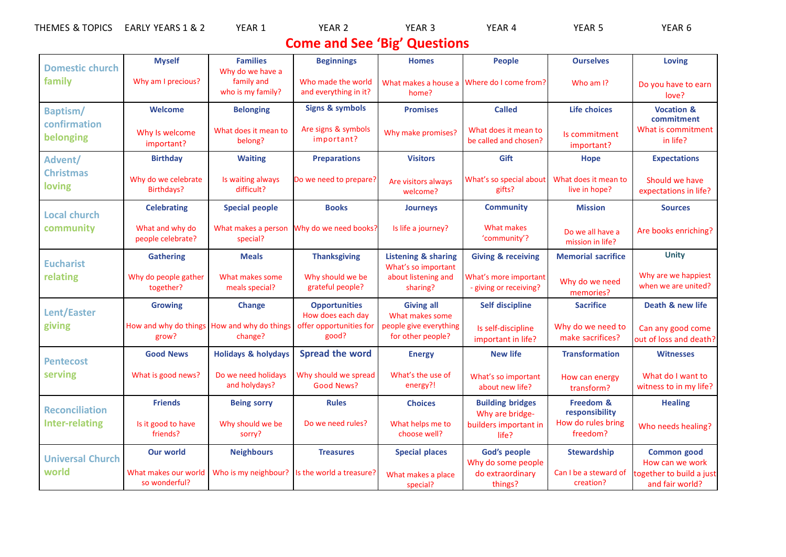| <b>TOPICS</b><br><b>THEMES</b><br>- 92<br>ື∾ | EARLY<br>$\mathbf{v}$<br><b>YEARS</b><br>ے & 1 | <b>YEAR</b> | <b>YEAR</b> | EAR <sub>3</sub> | EAR 4<br>₩r | 17 L<br>YE∆P | $\sim$<br><b>VL</b><br>'CAR |
|----------------------------------------------|------------------------------------------------|-------------|-------------|------------------|-------------|--------------|-----------------------------|
|                                              |                                                |             |             |                  |             |              |                             |

## **Come and See 'Big' Questions**

| <b>Domestic church</b><br>family               | <b>Myself</b>                         | <b>Families</b>                                          | <b>Beginnings</b>                           | <b>Homes</b>                                          | <b>People</b>                                   | <b>Ourselves</b>                      | <b>Loving</b>                               |
|------------------------------------------------|---------------------------------------|----------------------------------------------------------|---------------------------------------------|-------------------------------------------------------|-------------------------------------------------|---------------------------------------|---------------------------------------------|
|                                                | Why am I precious?                    | Why do we have a<br>family and<br>who is my family?      | Who made the world<br>and everything in it? | What makes a house a<br>home?                         | Where do I come from?                           | Who am I?                             | Do you have to earn<br>love?                |
| Baptism/<br>confirmation<br>belonging          | <b>Welcome</b>                        | <b>Belonging</b>                                         | <b>Signs &amp; symbols</b>                  | <b>Promises</b>                                       | <b>Called</b>                                   | Life choices                          | <b>Vocation &amp;</b><br>commitment         |
|                                                | Why Is welcome<br>important?          | What does it mean to<br>belong?                          | Are signs & symbols<br>important?           | Why make promises?                                    | What does it mean to<br>be called and chosen?   | Is commitment<br>important?           | What is commitment<br>in life?              |
| Advent/<br><b>Christmas</b><br>loving          | <b>Birthday</b>                       | <b>Waiting</b>                                           | <b>Preparations</b>                         | <b>Visitors</b>                                       | Gift                                            | <b>Hope</b>                           | <b>Expectations</b>                         |
|                                                | Why do we celebrate<br>Birthdays?     | Is waiting always<br>difficult?                          | Do we need to prepare?                      | Are visitors always<br>welcome?                       | What's so special about<br>gifts?               | What does it mean to<br>live in hope? | Should we have<br>expectations in life?     |
| <b>Local church</b><br>community               | <b>Celebrating</b>                    | <b>Special people</b>                                    | <b>Books</b>                                | <b>Journeys</b>                                       | <b>Community</b>                                | <b>Mission</b>                        | <b>Sources</b>                              |
|                                                | What and why do<br>people celebrate?  | What makes a person<br>special?                          | Why do we need books?                       | Is life a journey?                                    | What makes<br>'community'?                      | Do we all have a<br>mission in life?  | Are books enriching?                        |
| <b>Eucharist</b><br>relating                   | <b>Gathering</b>                      | <b>Meals</b>                                             | <b>Thanksgiving</b>                         | <b>Listening &amp; sharing</b><br>What's so important | <b>Giving &amp; receiving</b>                   | <b>Memorial sacrifice</b>             | <b>Unity</b>                                |
|                                                | Why do people gather<br>together?     | What makes some<br>meals special?                        | Why should we be<br>grateful people?        | about listening and<br>sharing?                       | What's more important<br>- giving or receiving? | Why do we need<br>memories?           | Why are we happiest<br>when we are united?  |
| <b>Lent/Easter</b><br>giving                   | <b>Growing</b>                        | <b>Change</b>                                            | <b>Opportunities</b><br>How does each day   | <b>Giving all</b><br>What makes some                  | <b>Self discipline</b>                          | <b>Sacrifice</b>                      | Death & new life                            |
|                                                | grow?                                 | How and why do things   How and why do things<br>change? | offer opportunities for<br>good?            | people give everything<br>for other people?           | Is self-discipline<br>important in life?        | Why do we need to<br>make sacrifices? | Can any good come<br>out of loss and death? |
| <b>Pentecost</b><br>serving                    | <b>Good News</b>                      | <b>Holidays &amp; holydays</b>                           | <b>Spread the word</b>                      | <b>Energy</b>                                         | <b>New life</b>                                 | <b>Transformation</b>                 | <b>Witnesses</b>                            |
|                                                | What is good news?                    | Do we need holidays<br>and holydays?                     | Why should we spread<br><b>Good News?</b>   | What's the use of<br>energy?!                         | What's so important<br>about new life?          | How can energy<br>transform?          | What do I want to<br>witness to in my life? |
| <b>Reconciliation</b><br><b>Inter-relating</b> | <b>Friends</b>                        | <b>Being sorry</b>                                       | <b>Rules</b>                                | <b>Choices</b>                                        | <b>Building bridges</b><br>Why are bridge-      | Freedom &<br>responsibility           | <b>Healing</b>                              |
|                                                | Is it good to have<br>friends?        | Why should we be<br>sorry?                               | Do we need rules?                           | What helps me to<br>choose well?                      | builders important in<br>life?                  | How do rules bring<br>freedom?        | Who needs healing?                          |
| <b>Universal Church</b><br>world               | <b>Our world</b>                      | <b>Neighbours</b>                                        | <b>Treasures</b>                            | <b>Special places</b>                                 | God's people<br>Why do some people              | <b>Stewardship</b>                    | <b>Common good</b><br>How can we work       |
|                                                | What makes our world<br>so wonderful? | Who is my neighbour?                                     | Is the world a treasure?                    | What makes a place<br>special?                        | do extraordinary<br>things?                     | Can I be a steward of<br>creation?    | together to build a just<br>and fair world? |